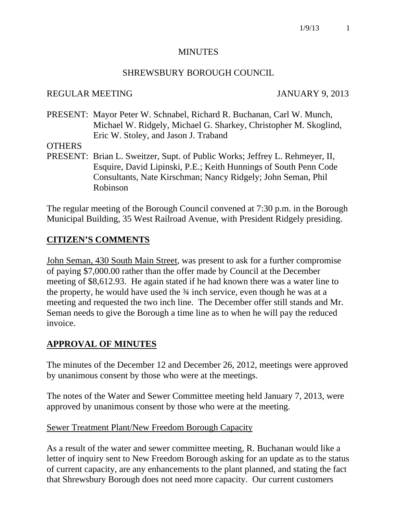#### MINUTES

#### SHREWSBURY BOROUGH COUNCIL

#### REGULAR MEETING JANUARY 9, 2013

PRESENT: Mayor Peter W. Schnabel, Richard R. Buchanan, Carl W. Munch, Michael W. Ridgely, Michael G. Sharkey, Christopher M. Skoglind, Eric W. Stoley, and Jason J. Traband

#### **OTHERS**

PRESENT: Brian L. Sweitzer, Supt. of Public Works; Jeffrey L. Rehmeyer, II, Esquire, David Lipinski, P.E.; Keith Hunnings of South Penn Code Consultants, Nate Kirschman; Nancy Ridgely; John Seman, Phil Robinson

The regular meeting of the Borough Council convened at 7:30 p.m. in the Borough Municipal Building, 35 West Railroad Avenue, with President Ridgely presiding.

# **CITIZEN'S COMMENTS**

John Seman, 430 South Main Street, was present to ask for a further compromise of paying \$7,000.00 rather than the offer made by Council at the December meeting of \$8,612.93. He again stated if he had known there was a water line to the property, he would have used the ¾ inch service, even though he was at a meeting and requested the two inch line. The December offer still stands and Mr. Seman needs to give the Borough a time line as to when he will pay the reduced invoice.

## **APPROVAL OF MINUTES**

The minutes of the December 12 and December 26, 2012, meetings were approved by unanimous consent by those who were at the meetings.

The notes of the Water and Sewer Committee meeting held January 7, 2013, were approved by unanimous consent by those who were at the meeting.

## Sewer Treatment Plant/New Freedom Borough Capacity

As a result of the water and sewer committee meeting, R. Buchanan would like a letter of inquiry sent to New Freedom Borough asking for an update as to the status of current capacity, are any enhancements to the plant planned, and stating the fact that Shrewsbury Borough does not need more capacity. Our current customers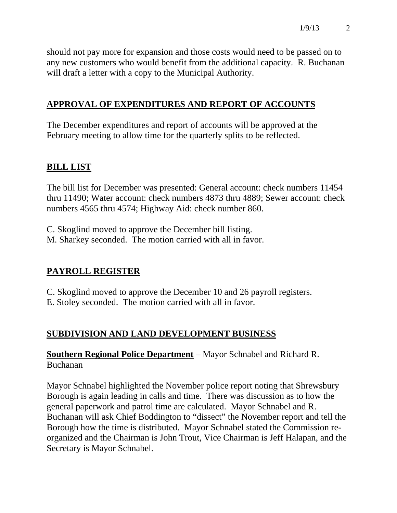should not pay more for expansion and those costs would need to be passed on to any new customers who would benefit from the additional capacity. R. Buchanan will draft a letter with a copy to the Municipal Authority.

# **APPROVAL OF EXPENDITURES AND REPORT OF ACCOUNTS**

The December expenditures and report of accounts will be approved at the February meeting to allow time for the quarterly splits to be reflected.

# **BILL LIST**

The bill list for December was presented: General account: check numbers 11454 thru 11490; Water account: check numbers 4873 thru 4889; Sewer account: check numbers 4565 thru 4574; Highway Aid: check number 860.

C. Skoglind moved to approve the December bill listing. M. Sharkey seconded. The motion carried with all in favor.

# **PAYROLL REGISTER**

C. Skoglind moved to approve the December 10 and 26 payroll registers.

E. Stoley seconded. The motion carried with all in favor.

# **SUBDIVISION AND LAND DEVELOPMENT BUSINESS**

**Southern Regional Police Department** – Mayor Schnabel and Richard R. Buchanan

Mayor Schnabel highlighted the November police report noting that Shrewsbury Borough is again leading in calls and time. There was discussion as to how the general paperwork and patrol time are calculated. Mayor Schnabel and R. Buchanan will ask Chief Boddington to "dissect" the November report and tell the Borough how the time is distributed. Mayor Schnabel stated the Commission reorganized and the Chairman is John Trout, Vice Chairman is Jeff Halapan, and the Secretary is Mayor Schnabel.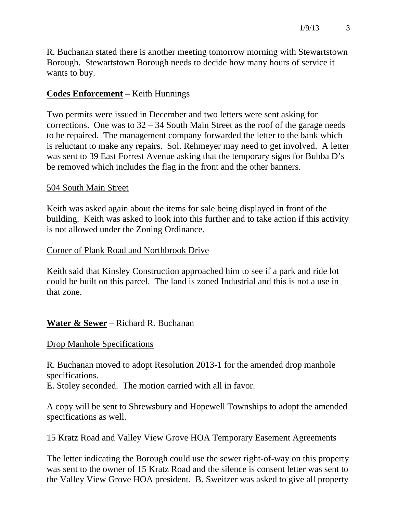R. Buchanan stated there is another meeting tomorrow morning with Stewartstown Borough. Stewartstown Borough needs to decide how many hours of service it wants to buy.

# **Codes Enforcement** – Keith Hunnings

Two permits were issued in December and two letters were sent asking for corrections. One was to  $32 - 34$  South Main Street as the roof of the garage needs to be repaired. The management company forwarded the letter to the bank which is reluctant to make any repairs. Sol. Rehmeyer may need to get involved. A letter was sent to 39 East Forrest Avenue asking that the temporary signs for Bubba D's be removed which includes the flag in the front and the other banners.

#### 504 South Main Street

Keith was asked again about the items for sale being displayed in front of the building. Keith was asked to look into this further and to take action if this activity is not allowed under the Zoning Ordinance.

#### Corner of Plank Road and Northbrook Drive

Keith said that Kinsley Construction approached him to see if a park and ride lot could be built on this parcel. The land is zoned Industrial and this is not a use in that zone.

## **Water & Sewer** – Richard R. Buchanan

#### Drop Manhole Specifications

R. Buchanan moved to adopt Resolution 2013-1 for the amended drop manhole specifications.

E. Stoley seconded. The motion carried with all in favor.

A copy will be sent to Shrewsbury and Hopewell Townships to adopt the amended specifications as well.

## 15 Kratz Road and Valley View Grove HOA Temporary Easement Agreements

The letter indicating the Borough could use the sewer right-of-way on this property was sent to the owner of 15 Kratz Road and the silence is consent letter was sent to the Valley View Grove HOA president. B. Sweitzer was asked to give all property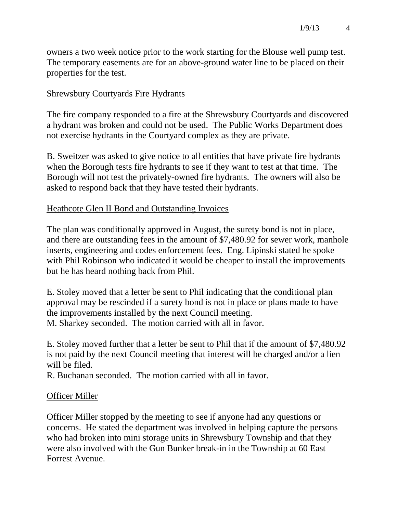owners a two week notice prior to the work starting for the Blouse well pump test. The temporary easements are for an above-ground water line to be placed on their properties for the test.

## Shrewsbury Courtyards Fire Hydrants

The fire company responded to a fire at the Shrewsbury Courtyards and discovered a hydrant was broken and could not be used. The Public Works Department does not exercise hydrants in the Courtyard complex as they are private.

B. Sweitzer was asked to give notice to all entities that have private fire hydrants when the Borough tests fire hydrants to see if they want to test at that time. The Borough will not test the privately-owned fire hydrants. The owners will also be asked to respond back that they have tested their hydrants.

## Heathcote Glen II Bond and Outstanding Invoices

The plan was conditionally approved in August, the surety bond is not in place, and there are outstanding fees in the amount of \$7,480.92 for sewer work, manhole inserts, engineering and codes enforcement fees. Eng. Lipinski stated he spoke with Phil Robinson who indicated it would be cheaper to install the improvements but he has heard nothing back from Phil.

E. Stoley moved that a letter be sent to Phil indicating that the conditional plan approval may be rescinded if a surety bond is not in place or plans made to have the improvements installed by the next Council meeting. M. Sharkey seconded. The motion carried with all in favor.

E. Stoley moved further that a letter be sent to Phil that if the amount of \$7,480.92 is not paid by the next Council meeting that interest will be charged and/or a lien will be filed.

R. Buchanan seconded. The motion carried with all in favor.

## Officer Miller

Officer Miller stopped by the meeting to see if anyone had any questions or concerns. He stated the department was involved in helping capture the persons who had broken into mini storage units in Shrewsbury Township and that they were also involved with the Gun Bunker break-in in the Township at 60 East Forrest Avenue.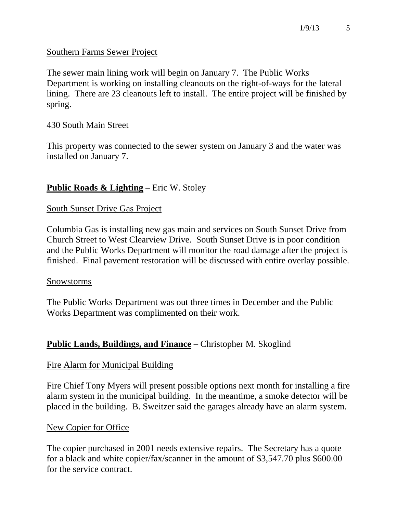## Southern Farms Sewer Project

The sewer main lining work will begin on January 7. The Public Works Department is working on installing cleanouts on the right-of-ways for the lateral lining. There are 23 cleanouts left to install. The entire project will be finished by spring.

## 430 South Main Street

This property was connected to the sewer system on January 3 and the water was installed on January 7.

# **Public Roads & Lighting** – Eric W. Stoley

## South Sunset Drive Gas Project

Columbia Gas is installing new gas main and services on South Sunset Drive from Church Street to West Clearview Drive. South Sunset Drive is in poor condition and the Public Works Department will monitor the road damage after the project is finished. Final pavement restoration will be discussed with entire overlay possible.

#### Snowstorms

The Public Works Department was out three times in December and the Public Works Department was complimented on their work.

## **Public Lands, Buildings, and Finance** – Christopher M. Skoglind

## Fire Alarm for Municipal Building

Fire Chief Tony Myers will present possible options next month for installing a fire alarm system in the municipal building. In the meantime, a smoke detector will be placed in the building. B. Sweitzer said the garages already have an alarm system.

## New Copier for Office

The copier purchased in 2001 needs extensive repairs. The Secretary has a quote for a black and white copier/fax/scanner in the amount of \$3,547.70 plus \$600.00 for the service contract.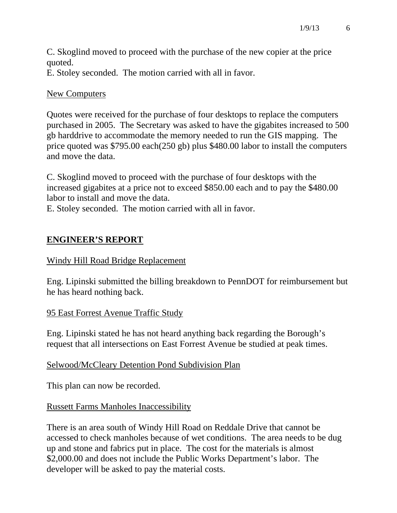C. Skoglind moved to proceed with the purchase of the new copier at the price quoted.

E. Stoley seconded. The motion carried with all in favor.

## New Computers

Quotes were received for the purchase of four desktops to replace the computers purchased in 2005. The Secretary was asked to have the gigabites increased to 500 gb harddrive to accommodate the memory needed to run the GIS mapping. The price quoted was \$795.00 each(250 gb) plus \$480.00 labor to install the computers and move the data.

C. Skoglind moved to proceed with the purchase of four desktops with the increased gigabites at a price not to exceed \$850.00 each and to pay the \$480.00 labor to install and move the data.

E. Stoley seconded. The motion carried with all in favor.

# **ENGINEER'S REPORT**

# Windy Hill Road Bridge Replacement

Eng. Lipinski submitted the billing breakdown to PennDOT for reimbursement but he has heard nothing back.

# 95 East Forrest Avenue Traffic Study

Eng. Lipinski stated he has not heard anything back regarding the Borough's request that all intersections on East Forrest Avenue be studied at peak times.

# Selwood/McCleary Detention Pond Subdivision Plan

This plan can now be recorded.

# Russett Farms Manholes Inaccessibility

There is an area south of Windy Hill Road on Reddale Drive that cannot be accessed to check manholes because of wet conditions. The area needs to be dug up and stone and fabrics put in place. The cost for the materials is almost \$2,000.00 and does not include the Public Works Department's labor. The developer will be asked to pay the material costs.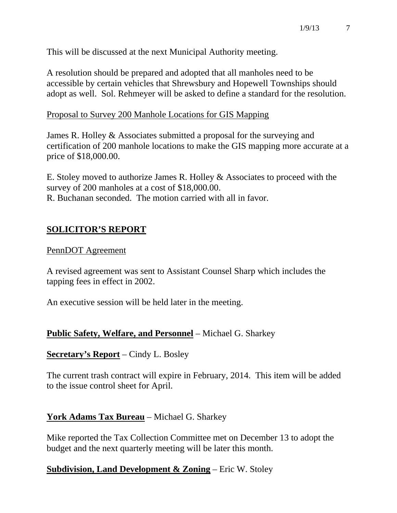This will be discussed at the next Municipal Authority meeting.

A resolution should be prepared and adopted that all manholes need to be accessible by certain vehicles that Shrewsbury and Hopewell Townships should adopt as well. Sol. Rehmeyer will be asked to define a standard for the resolution.

#### Proposal to Survey 200 Manhole Locations for GIS Mapping

James R. Holley & Associates submitted a proposal for the surveying and certification of 200 manhole locations to make the GIS mapping more accurate at a price of \$18,000.00.

E. Stoley moved to authorize James R. Holley & Associates to proceed with the survey of 200 manholes at a cost of \$18,000.00. R. Buchanan seconded. The motion carried with all in favor.

# **SOLICITOR'S REPORT**

#### PennDOT Agreement

A revised agreement was sent to Assistant Counsel Sharp which includes the tapping fees in effect in 2002.

An executive session will be held later in the meeting.

## **Public Safety, Welfare, and Personnel** – Michael G. Sharkey

## **Secretary's Report** – Cindy L. Bosley

The current trash contract will expire in February, 2014. This item will be added to the issue control sheet for April.

## **York Adams Tax Bureau** – Michael G. Sharkey

Mike reported the Tax Collection Committee met on December 13 to adopt the budget and the next quarterly meeting will be later this month.

## **Subdivision, Land Development & Zoning** – Eric W. Stoley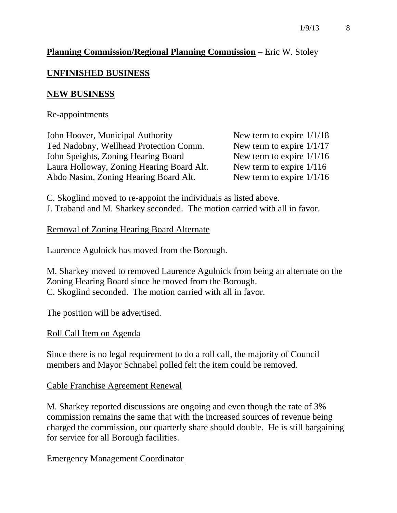## **Planning Commission/Regional Planning Commission** – Eric W. Stoley

## **UNFINISHED BUSINESS**

#### **NEW BUSINESS**

#### Re-appointments

John Hoover, Municipal Authority New term to expire  $1/1/18$ Ted Nadobny, Wellhead Protection Comm. New term to expire  $1/1/17$ John Speights, Zoning Hearing Board New term to expire  $1/1/16$ Laura Holloway, Zoning Hearing Board Alt. New term to expire 1/116 Abdo Nasim, Zoning Hearing Board Alt. New term to expire 1/1/16

C. Skoglind moved to re-appoint the individuals as listed above. J. Traband and M. Sharkey seconded. The motion carried with all in favor.

#### Removal of Zoning Hearing Board Alternate

Laurence Agulnick has moved from the Borough.

M. Sharkey moved to removed Laurence Agulnick from being an alternate on the Zoning Hearing Board since he moved from the Borough. C. Skoglind seconded. The motion carried with all in favor.

The position will be advertised.

#### Roll Call Item on Agenda

Since there is no legal requirement to do a roll call, the majority of Council members and Mayor Schnabel polled felt the item could be removed.

Cable Franchise Agreement Renewal

M. Sharkey reported discussions are ongoing and even though the rate of 3% commission remains the same that with the increased sources of revenue being charged the commission, our quarterly share should double. He is still bargaining for service for all Borough facilities.

Emergency Management Coordinator